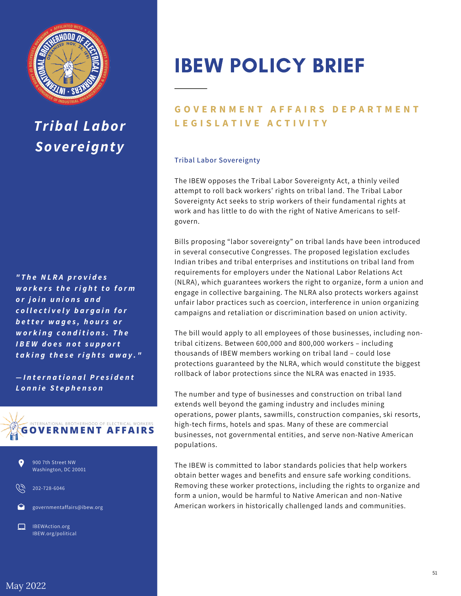

## *Tribal Labor Sovereignty*

*" T h e N L R A p r o v i d e s w o r k e r s t h e ri g h t t o f o r m o r j o in u n io n s a n d c o ll e c t i v e l y b a r g a in f o r b e t t e r w a g e s , h o u r s o r w o r k in g c o n d i t i o n s . T h e I B E W d o e s n o t s u p p o rt t a k i n g t h e s e ri g h t s a w a y . "*

*— I n t e r n a t i o n a lP r e s i d e n t L o n n ie S t e p h e n s o n*





202-728-6046

governmentaffairs@ibew.org

IBEWAction.org IBEW.org/political

# IBEW POLICY BRIEF

### **GOVERNMENT AFFAIRS DEPARTMENT L E G I S L A T I V E A C T I V I T Y**

#### **Tribal Labor Sovereignty**

The IBEW opposes the Tribal Labor Sovereignty Act, a thinly veiled attempt to roll back workers' rights on tribal land. The Tribal Labor Sovereignty Act seeks to strip workers of their fundamental rights at work and has little to do with the right of Native Americans to selfgovern.

Bills proposing "labor sovereignty" on tribal lands have been introduced in several consecutive Congresses. The proposed legislation excludes Indian tribes and tribal enterprises and institutions on tribal land from requirements for employers under the National Labor Relations Act (NLRA), which guarantees workers the right to organize, form a union and engage in collective bargaining. The NLRA also protects workers against unfair labor practices such as coercion, interference in union organizing campaigns and retaliation or discrimination based on union activity.

The bill would apply to all employees of those businesses, including nontribal citizens. Between 600,000 and 800,000 workers – including thousands of IBEW members working on tribal land – could lose protections guaranteed by the NLRA, which would constitute the biggest rollback of labor protections since the NLRA was enacted in 1935.

The number and type of businesses and construction on tribal land extends well beyond the gaming industry and includes mining operations, power plants, sawmills, construction companies, ski resorts, high-tech firms, hotels and spas. Many of these are commercial businesses, not governmental entities, and serve non-Native American populations.

The IBEW is committed to labor standards policies that help workers obtain better wages and benefits and ensure safe working conditions. Removing these worker protections, including the rights to organize and form a union, would be harmful to Native American and non-Native American workers in historically challenged lands and communities.